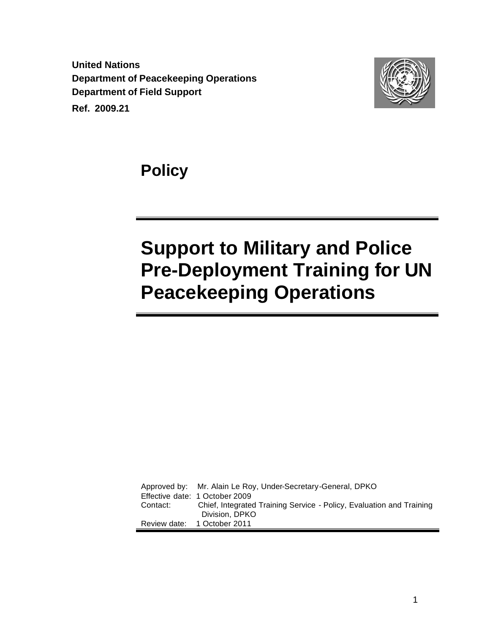**United Nations Department of Peacekeeping Operations Department of Field Support Ref. 2009.21**



**Policy** 

# **Support to Military and Police Pre-Deployment Training for UN Peacekeeping Operations**

Approved by: Mr. Alain Le Roy, Under-Secretary-General, DPKO Effective date: 1 October 2009 Contact: Chief, Integrated Training Service - Policy, Evaluation and Training Division, DPKO Review date: 1 October 2011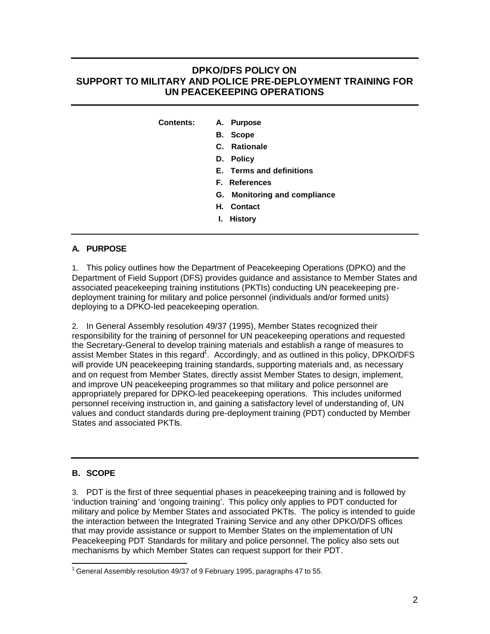# **DPKO/DFS POLICY ON SUPPORT TO MILITARY AND POLICE PRE-DEPLOYMENT TRAINING FOR UN PEACEKEEPING OPERATIONS**

**Contents: A. Purpose**

- **B. Scope**
- **C. Rationale**
- **D. Policy**
- **E. Terms and definitions**
- **F. References**
- **G. Monitoring and compliance**
- **H. Contact**
- **I. History**

# **A. PURPOSE**

1. This policy outlines how the Department of Peacekeeping Operations (DPKO) and the Department of Field Support (DFS) provides guidance and assistance to Member States and associated peacekeeping training institutions (PKTIs) conducting UN peacekeeping predeployment training for military and police personnel (individuals and/or formed units) deploying to a DPKO-led peacekeeping operation.

2. In General Assembly resolution 49/37 (1995), Member States recognized their responsibility for the training of personnel for UN peacekeeping operations and requested the Secretary-General to develop training materials and establish a range of measures to assist Member States in this regard<sup>1</sup>. Accordingly, and as outlined in this policy, DPKO/DFS will provide UN peacekeeping training standards, supporting materials and, as necessary and on request from Member States, directly assist Member States to design, implement, and improve UN peacekeeping programmes so that military and police personnel are appropriately prepared for DPKO-led peacekeeping operations. This includes uniformed personnel receiving instruction in, and gaining a satisfactory level of understanding of, UN values and conduct standards during pre-deployment training (PDT) conducted by Member States and associated PKTIs.

# **B. SCOPE**

3. PDT is the first of three sequential phases in peacekeeping training and is followed by 'induction training' and 'ongoing training'. This policy only applies to PDT conducted for military and police by Member States and associated PKTIs. The policy is intended to guide the interaction between the Integrated Training Service and any other DPKO/DFS offices that may provide assistance or support to Member States on the implementation of UN Peacekeeping PDT Standards for military and police personnel. The policy also sets out mechanisms by which Member States can request support for their PDT.

 $\overline{\phantom{a}}$  $1$  General Assembly resolution 49/37 of 9 February 1995, paragraphs 47 to 55.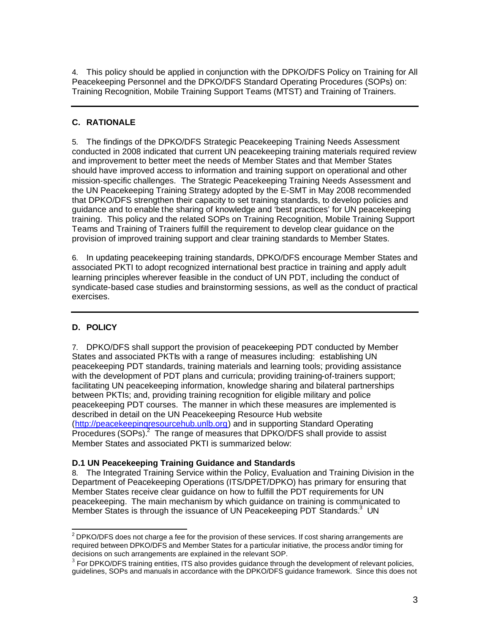4. This policy should be applied in conjunction with the DPKO/DFS Policy on Training for All Peacekeeping Personnel and the DPKO/DFS Standard Operating Procedures (SOPs) on: Training Recognition, Mobile Training Support Teams (MTST) and Training of Trainers.

## **C. RATIONALE**

5. The findings of the DPKO/DFS Strategic Peacekeeping Training Needs Assessment conducted in 2008 indicated that current UN peacekeeping training materials required review and improvement to better meet the needs of Member States and that Member States should have improved access to information and training support on operational and other mission-specific challenges. The Strategic Peacekeeping Training Needs Assessment and the UN Peacekeeping Training Strategy adopted by the E-SMT in May 2008 recommended that DPKO/DFS strengthen their capacity to set training standards, to develop policies and guidance and to enable the sharing of knowledge and 'best practices' for UN peacekeeping training. This policy and the related SOPs on Training Recognition, Mobile Training Support Teams and Training of Trainers fulfill the requirement to develop clear guidance on the provision of improved training support and clear training standards to Member States.

6. In updating peacekeeping training standards, DPKO/DFS encourage Member States and associated PKTI to adopt recognized international best practice in training and apply adult learning principles wherever feasible in the conduct of UN PDT, including the conduct of syndicate-based case studies and brainstorming sessions, as well as the conduct of practical exercises.

# **D. POLICY**

7. DPKO/DFS shall support the provision of peacekeeping PDT conducted by Member States and associated PKTIs with a range of measures including: establishing UN peacekeeping PDT standards, training materials and learning tools; providing assistance with the development of PDT plans and curricula; providing training-of-trainers support; facilitating UN peacekeeping information, knowledge sharing and bilateral partnerships between PKTIs; and, providing training recognition for eligible military and police peacekeeping PDT courses. The manner in which these measures are implemented is described in detail on the UN Peacekeeping Resource Hub website (http://peacekeepingresourcehub.unlb.org) and in supporting Standard Operating Procedures  $(SOPs)<sup>2</sup>$  The range of measures that DPKO/DFS shall provide to assist Member States and associated PKTI is summarized below:

#### **D.1 UN Peacekeeping Training Guidance and Standards**

8. The Integrated Training Service within the Policy, Evaluation and Training Division in the Department of Peacekeeping Operations (ITS/DPET/DPKO) has primary for ensuring that Member States receive clear guidance on how to fulfill the PDT requirements for UN peacekeeping. The main mechanism by which guidance on training is communicated to Member States is through the issuance of UN Peacekeeping PDT Standards.<sup>3</sup> UN

 2 DPKO/DFS does not charge a fee for the provision of these services. If cost sharing arrangements are required between DPKO/DFS and Member States for a particular initiative, the process and/or timing for decisions on such arrangements are explained in the relevant SOP.

<sup>3</sup> For DPKO/DFS training entities, ITS also provides guidance through the development of relevant policies, guidelines, SOPs and manuals in accordance with the DPKO/DFS guidance framework. Since this does not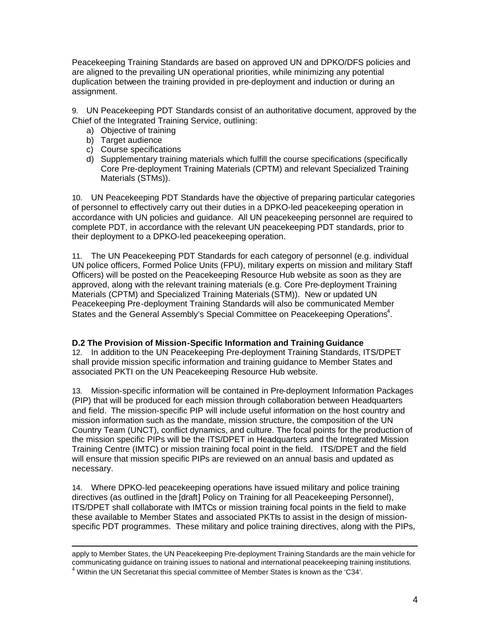Peacekeeping Training Standards are based on approved UN and DPKO/DFS policies and are aligned to the prevailing UN operational priorities, while minimizing any potential duplication between the training provided in pre-deployment and induction or during an assignment.

9. UN Peacekeeping PDT Standards consist of an authoritative document, approved by the Chief of the Integrated Training Service, outlining:

- a) Objective of training
- b) Target audience
- c) Course specifications
- d) Supplementary training materials which fulfill the course specifications (specifically Core Pre-deployment Training Materials (CPTM) and relevant Specialized Training Materials (STMs)).

10. UN Peacekeeping PDT Standards have the objective of preparing particular categories of personnel to effectively carry out their duties in a DPKO-led peacekeeping operation in accordance with UN policies and guidance. All UN peacekeeping personnel are required to complete PDT, in accordance with the relevant UN peacekeeping PDT standards, prior to their deployment to a DPKO-led peacekeeping operation.

11. The UN Peacekeeping PDT Standards for each category of personnel (e.g. individual UN police officers, Formed Police Units (FPU), military experts on mission and military Staff Officers) will be posted on the Peacekeeping Resource Hub website as soon as they are approved, along with the relevant training materials (e.g. Core Pre-deployment Training Materials (CPTM) and Specialized Training Materials (STM)). New or updated UN Peacekeeping Pre-deployment Training Standards will also be communicated Member States and the General Assembly's Special Committee on Peacekeeping Operations<sup>4</sup>.

#### **D.2 The Provision of Mission-Specific Information and Training Guidance**

12. In addition to the UN Peacekeeping Pre-deployment Training Standards, ITS/DPET shall provide mission specific information and training guidance to Member States and associated PKTI on the UN Peacekeeping Resource Hub website.

13. Mission-specific information will be contained in Pre-deployment Information Packages (PIP) that will be produced for each mission through collaboration between Headquarters and field. The mission-specific PIP will include useful information on the host country and mission information such as the mandate, mission structure, the composition of the UN Country Team (UNCT), conflict dynamics, and culture. The focal points for the production of the mission specific PIPs will be the ITS/DPET in Headquarters and the Integrated Mission Training Centre (IMTC) or mission training focal point in the field. ITS/DPET and the field will ensure that mission specific PIPs are reviewed on an annual basis and updated as necessary.

14. Where DPKO-led peacekeeping operations have issued military and police training directives (as outlined in the [draft] Policy on Training for all Peacekeeping Personnel), ITS/DPET shall collaborate with IMTCs or mission training focal points in the field to make these available to Member States and associated PKTIs to assist in the design of missionspecific PDT programmes. These military and police training directives, along with the PIPs,

 $\overline{a}$ apply to Member States, the UN Peacekeeping Pre-deployment Training Standards are the main vehicle for communicating guidance on training issues to national and international peacekeeping training institutions.  $4$  Within the UN Secretariat this special committee of Member States is known as the 'C34'.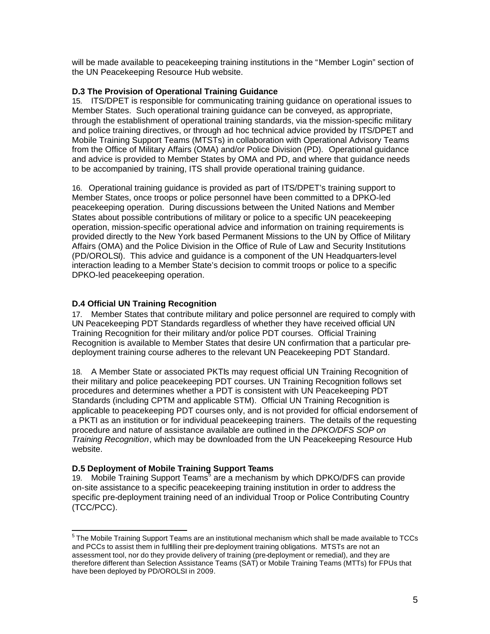will be made available to peacekeeping training institutions in the "Member Login" section of the UN Peacekeeping Resource Hub website.

#### **D.3 The Provision of Operational Training Guidance**

15. ITS/DPET is responsible for communicating training guidance on operational issues to Member States. Such operational training guidance can be conveyed, as appropriate, through the establishment of operational training standards, via the mission-specific military and police training directives, or through ad hoc technical advice provided by ITS/DPET and Mobile Training Support Teams (MTSTs) in collaboration with Operational Advisory Teams from the Office of Military Affairs (OMA) and/or Police Division (PD). Operational guidance and advice is provided to Member States by OMA and PD, and where that guidance needs to be accompanied by training, ITS shall provide operational training guidance.

16. Operational training guidance is provided as part of ITS/DPET's training support to Member States, once troops or police personnel have been committed to a DPKO-led peacekeeping operation. During discussions between the United Nations and Member States about possible contributions of military or police to a specific UN peacekeeping operation, mission-specific operational advice and information on training requirements is provided directly to the New York based Permanent Missions to the UN by Office of Military Affairs (OMA) and the Police Division in the Office of Rule of Law and Security Institutions (PD/OROLSI). This advice and guidance is a component of the UN Headquarters-level interaction leading to a Member State's decision to commit troops or police to a specific DPKO-led peacekeeping operation.

# **D.4 Official UN Training Recognition**

17. Member States that contribute military and police personnel are required to comply with UN Peacekeeping PDT Standards regardless of whether they have received official UN Training Recognition for their military and/or police PDT courses. Official Training Recognition is available to Member States that desire UN confirmation that a particular predeployment training course adheres to the relevant UN Peacekeeping PDT Standard.

18. A Member State or associated PKTIs may request official UN Training Recognition of their military and police peacekeeping PDT courses. UN Training Recognition follows set procedures and determines whether a PDT is consistent with UN Peacekeeping PDT Standards (including CPTM and applicable STM). Official UN Training Recognition is applicable to peacekeeping PDT courses only, and is not provided for official endorsement of a PKTI as an institution or for individual peacekeeping trainers. The details of the requesting procedure and nature of assistance available are outlined in the *DPKO/DFS SOP on Training Recognition*, which may be downloaded from the UN Peacekeeping Resource Hub website.

#### **D.5 Deployment of Mobile Training Support Teams**

19. Mobile Training Support Teams<sup>5</sup> are a mechanism by which DPKO/DFS can provide on-site assistance to a specific peacekeeping training institution in order to address the specific pre-deployment training need of an individual Troop or Police Contributing Country (TCC/PCC).

 5 The Mobile Training Support Teams are an institutional mechanism which shall be made available to TCCs and PCCs to assist them in fulfilling their pre-deployment training obligations. MTSTs are not an assessment tool, nor do they provide delivery of training (pre-deployment or remedial), and they are therefore different than Selection Assistance Teams (SAT) or Mobile Training Teams (MTTs) for FPUs that have been deployed by PD/OROLSI in 2009.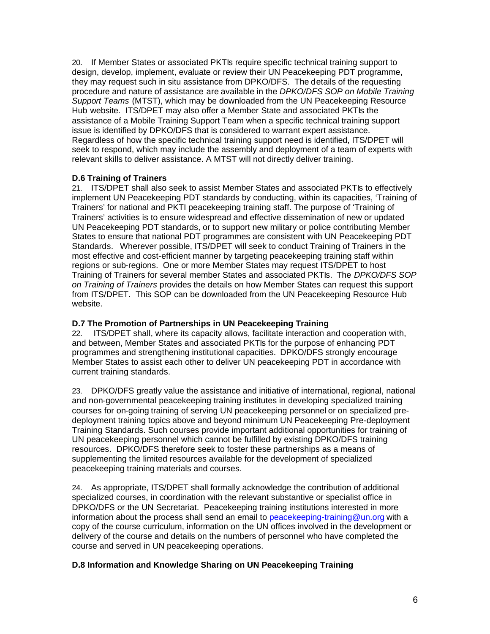20. If Member States or associated PKTIs require specific technical training support to design, develop, implement, evaluate or review their UN Peacekeeping PDT programme, they may request such in situ assistance from DPKO/DFS. The details of the requesting procedure and nature of assistance are available in the *DPKO/DFS SOP on Mobile Training Support Teams* (MTST), which may be downloaded from the UN Peacekeeping Resource Hub website. ITS/DPET may also offer a Member State and associated PKTIs the assistance of a Mobile Training Support Team when a specific technical training support issue is identified by DPKO/DFS that is considered to warrant expert assistance. Regardless of how the specific technical training support need is identified, ITS/DPET will seek to respond, which may include the assembly and deployment of a team of experts with relevant skills to deliver assistance. A MTST will not directly deliver training.

#### **D.6 Training of Trainers**

21. ITS/DPET shall also seek to assist Member States and associated PKTIs to effectively implement UN Peacekeeping PDT standards by conducting, within its capacities, 'Training of Trainers' for national and PKTI peacekeeping training staff. The purpose of 'Training of Trainers' activities is to ensure widespread and effective dissemination of new or updated UN Peacekeeping PDT standards, or to support new military or police contributing Member States to ensure that national PDT programmes are consistent with UN Peacekeeping PDT Standards. Wherever possible, ITS/DPET will seek to conduct Training of Trainers in the most effective and cost-efficient manner by targeting peacekeeping training staff within regions or sub-regions. One or more Member States may request ITS/DPET to host Training of Trainers for several member States and associated PKTIs. The *DPKO/DFS SOP on Training of Trainers* provides the details on how Member States can request this support from ITS/DPET. This SOP can be downloaded from the UN Peacekeeping Resource Hub website.

#### **D.7 The Promotion of Partnerships in UN Peacekeeping Training**

22. ITS/DPET shall, where its capacity allows, facilitate interaction and cooperation with, and between, Member States and associated PKTIs for the purpose of enhancing PDT programmes and strengthening institutional capacities. DPKO/DFS strongly encourage Member States to assist each other to deliver UN peacekeeping PDT in accordance with current training standards.

23. DPKO/DFS greatly value the assistance and initiative of international, regional, national and non-governmental peacekeeping training institutes in developing specialized training courses for on-going training of serving UN peacekeeping personnel or on specialized predeployment training topics above and beyond minimum UN Peacekeeping Pre-deployment Training Standards. Such courses provide important additional opportunities for training of UN peacekeeping personnel which cannot be fulfilled by existing DPKO/DFS training resources. DPKO/DFS therefore seek to foster these partnerships as a means of supplementing the limited resources available for the development of specialized peacekeeping training materials and courses.

24. As appropriate, ITS/DPET shall formally acknowledge the contribution of additional specialized courses, in coordination with the relevant substantive or specialist office in DPKO/DFS or the UN Secretariat. Peacekeeping training institutions interested in more information about the process shall send an email to peacekeeping-training@un.org with a copy of the course curriculum, information on the UN offices involved in the development or delivery of the course and details on the numbers of personnel who have completed the course and served in UN peacekeeping operations.

# **D.8 Information and Knowledge Sharing on UN Peacekeeping Training**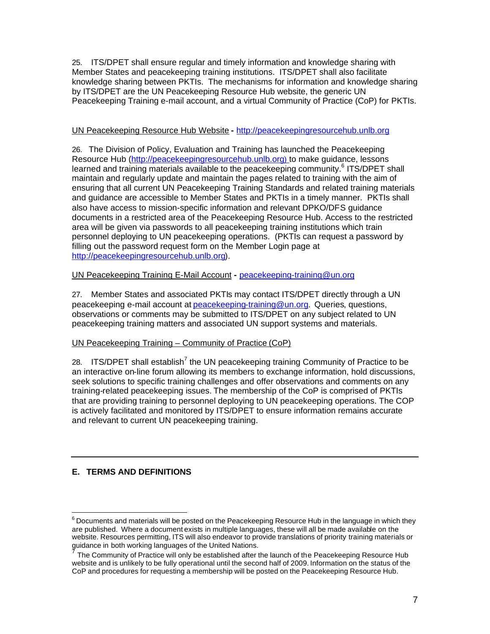25. ITS/DPET shall ensure regular and timely information and knowledge sharing with Member States and peacekeeping training institutions. ITS/DPET shall also facilitate knowledge sharing between PKTIs. The mechanisms for information and knowledge sharing by ITS/DPET are the UN Peacekeeping Resource Hub website, the generic UN Peacekeeping Training e-mail account, and a virtual Community of Practice (CoP) for PKTIs.

#### UN Peacekeeping Resource Hub Website **-** http://peacekeepingresourcehub.unlb.org

26. The Division of Policy, Evaluation and Training has launched the Peacekeeping Resource Hub (http://peacekeepingresourcehub.unlb.org) to make guidance, lessons learned and training materials available to the peacekeeping community.<sup>6</sup> ITS/DPET shall maintain and regularly update and maintain the pages related to training with the aim of ensuring that all current UN Peacekeeping Training Standards and related training materials and guidance are accessible to Member States and PKTIs in a timely manner. PKTIs shall also have access to mission-specific information and relevant DPKO/DFS guidance documents in a restricted area of the Peacekeeping Resource Hub. Access to the restricted area will be given via passwords to all peacekeeping training institutions which train personnel deploying to UN peacekeeping operations. (PKTIs can request a password by filling out the password request form on the Member Login page at http://peacekeepingresourcehub.unlb.org).

# UN Peacekeeping Training E-Mail Account **-** peacekeeping-training@un.org

27. Member States and associated PKTIs may contact ITS/DPET directly through a UN peacekeeping e-mail account at peacekeeping-training@un.org. Queries, questions, observations or comments may be submitted to ITS/DPET on any subject related to UN peacekeeping training matters and associated UN support systems and materials.

# UN Peacekeeping Training – Community of Practice (CoP)

28. ITS/DPET shall establish<sup>7</sup> the UN peacekeeping training Community of Practice to be an interactive on-line forum allowing its members to exchange information, hold discussions, seek solutions to specific training challenges and offer observations and comments on any training-related peacekeeping issues. The membership of the CoP is comprised of PKTIs that are providing training to personnel deploying to UN peacekeeping operations. The COP is actively facilitated and monitored by ITS/DPET to ensure information remains accurate and relevant to current UN peacekeeping training.

# **E. TERMS AND DEFINITIONS**

 $\overline{a}$ 

 $^6$  Documents and materials will be posted on the Peacekeeping Resource Hub in the language in which they are published. Where a document exists in multiple languages, these will all be made available on the website. Resources permitting, ITS will also endeavor to provide translations of priority training materials or guidance in both working languages of the United Nations.<br><sup>7</sup> The Cammunity of Practics will aply he astablished efter t

The Community of Practice will only be established after the launch of the Peacekeeping Resource Hub website and is unlikely to be fully operational until the second half of 2009. Information on the status of the CoP and procedures for requesting a membership will be posted on the Peacekeeping Resource Hub.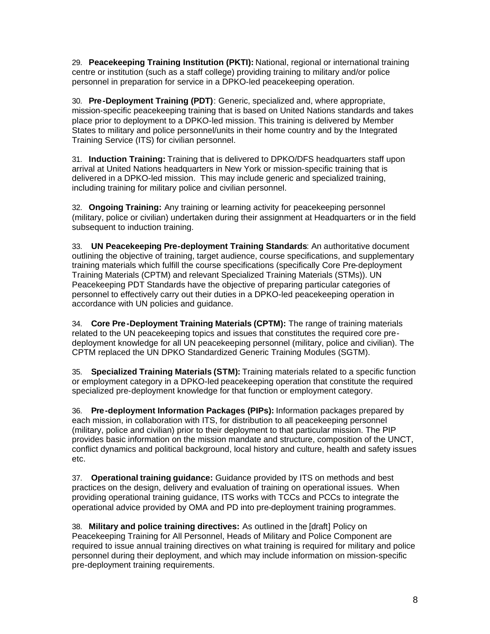29. **Peacekeeping Training Institution (PKTI):** National, regional or international training centre or institution (such as a staff college) providing training to military and/or police personnel in preparation for service in a DPKO-led peacekeeping operation.

30. **Pre-Deployment Training (PDT)**: Generic, specialized and, where appropriate, mission-specific peacekeeping training that is based on United Nations standards and takes place prior to deployment to a DPKO-led mission. This training is delivered by Member States to military and police personnel/units in their home country and by the Integrated Training Service (ITS) for civilian personnel.

31. **Induction Training:** Training that is delivered to DPKO/DFS headquarters staff upon arrival at United Nations headquarters in New York or mission-specific training that is delivered in a DPKO-led mission. This may include generic and specialized training, including training for military police and civilian personnel.

32. **Ongoing Training:** Any training or learning activity for peacekeeping personnel (military, police or civilian) undertaken during their assignment at Headquarters or in the field subsequent to induction training.

33. **UN Peacekeeping Pre-deployment Training Standards**: An authoritative document outlining the objective of training, target audience, course specifications, and supplementary training materials which fulfill the course specifications (specifically Core Pre-deployment Training Materials (CPTM) and relevant Specialized Training Materials (STMs)). UN Peacekeeping PDT Standards have the objective of preparing particular categories of personnel to effectively carry out their duties in a DPKO-led peacekeeping operation in accordance with UN policies and guidance.

34. **Core Pre-Deployment Training Materials (CPTM):** The range of training materials related to the UN peacekeeping topics and issues that constitutes the required core predeployment knowledge for all UN peacekeeping personnel (military, police and civilian). The CPTM replaced the UN DPKO Standardized Generic Training Modules (SGTM).

35. **Specialized Training Materials (STM):** Training materials related to a specific function or employment category in a DPKO-led peacekeeping operation that constitute the required specialized pre-deployment knowledge for that function or employment category.

36. **Pre-deployment Information Packages (PIPs):** Information packages prepared by each mission, in collaboration with ITS, for distribution to all peacekeeping personnel (military, police and civilian) prior to their deployment to that particular mission. The PIP provides basic information on the mission mandate and structure, composition of the UNCT, conflict dynamics and political background, local history and culture, health and safety issues etc.

37. **Operational training guidance:** Guidance provided by ITS on methods and best practices on the design, delivery and evaluation of training on operational issues. When providing operational training guidance, ITS works with TCCs and PCCs to integrate the operational advice provided by OMA and PD into pre-deployment training programmes.

38. **Military and police training directives:** As outlined in the [draft] Policy on Peacekeeping Training for All Personnel, Heads of Military and Police Component are required to issue annual training directives on what training is required for military and police personnel during their deployment, and which may include information on mission-specific pre-deployment training requirements.